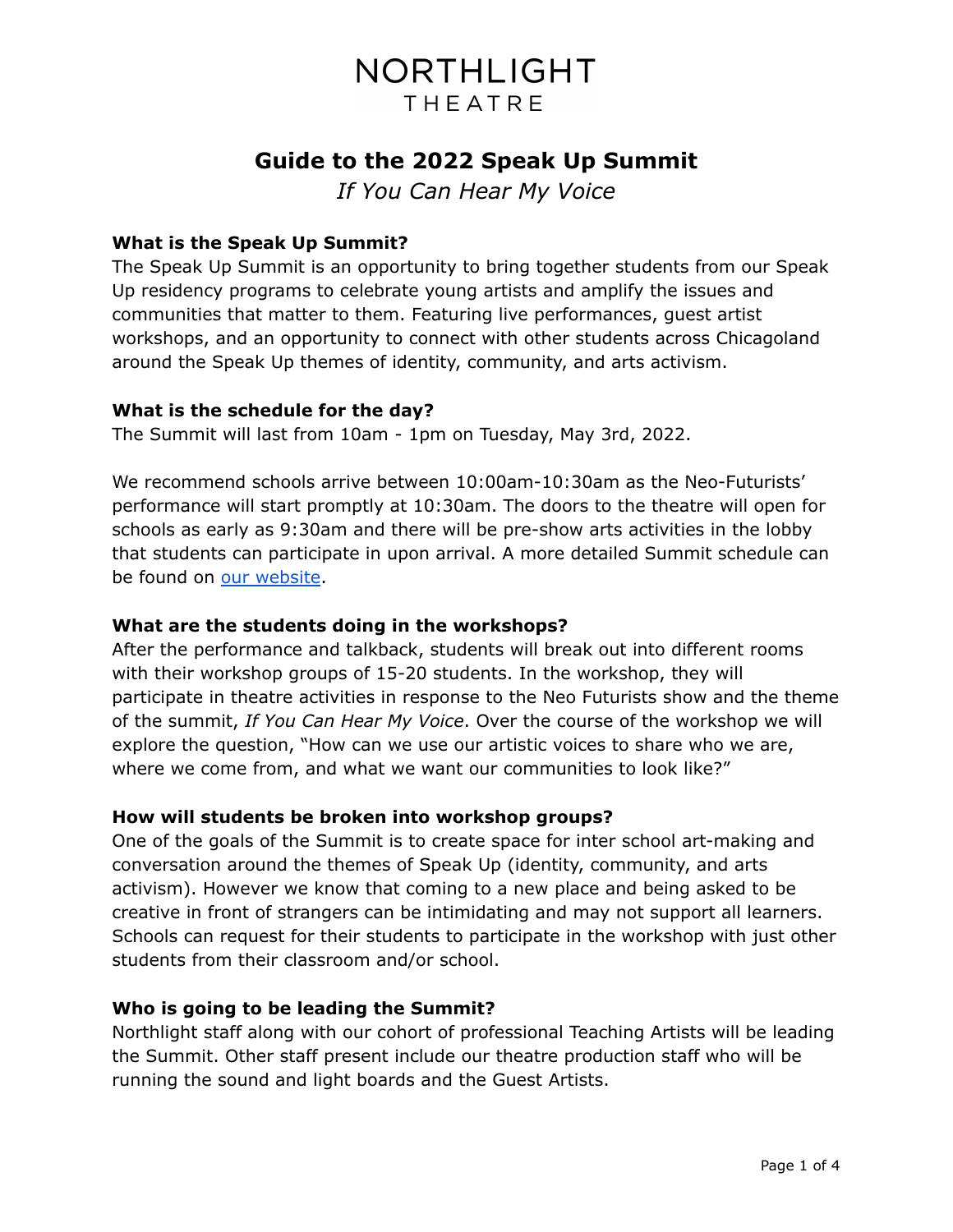# **Guide to the 2022 Speak Up Summit**

*If You Can Hear My Voice*

# **What is the Speak Up Summit?**

The Speak Up Summit is an opportunity to bring together students from our Speak Up residency programs to celebrate young artists and amplify the issues and communities that matter to them. Featuring live performances, guest artist workshops, and an opportunity to connect with other students across Chicagoland around the Speak Up themes of identity, community, and arts activism.

## **What is the schedule for the day?**

The Summit will last from 10am - 1pm on Tuesday, May 3rd, 2022.

We recommend schools arrive between 10:00am-10:30am as the Neo-Futurists' performance will start promptly at 10:30am. The doors to the theatre will open for schools as early as 9:30am and there will be pre-show arts activities in the lobby that students can participate in upon arrival. A more detailed Summit schedule can be found on our [website](https://northlight.org/speakupsummit/).

## **What are the students doing in the workshops?**

After the performance and talkback, students will break out into different rooms with their workshop groups of 15-20 students. In the workshop, they will participate in theatre activities in response to the Neo Futurists show and the theme of the summit, *If You Can Hear My Voice*. Over the course of the workshop we will explore the question, "How can we use our artistic voices to share who we are, where we come from, and what we want our communities to look like?"

## **How will students be broken into workshop groups?**

One of the goals of the Summit is to create space for inter school art-making and conversation around the themes of Speak Up (identity, community, and arts activism). However we know that coming to a new place and being asked to be creative in front of strangers can be intimidating and may not support all learners. Schools can request for their students to participate in the workshop with just other students from their classroom and/or school.

#### **Who is going to be leading the Summit?**

Northlight staff along with our cohort of professional Teaching Artists will be leading the Summit. Other staff present include our theatre production staff who will be running the sound and light boards and the Guest Artists.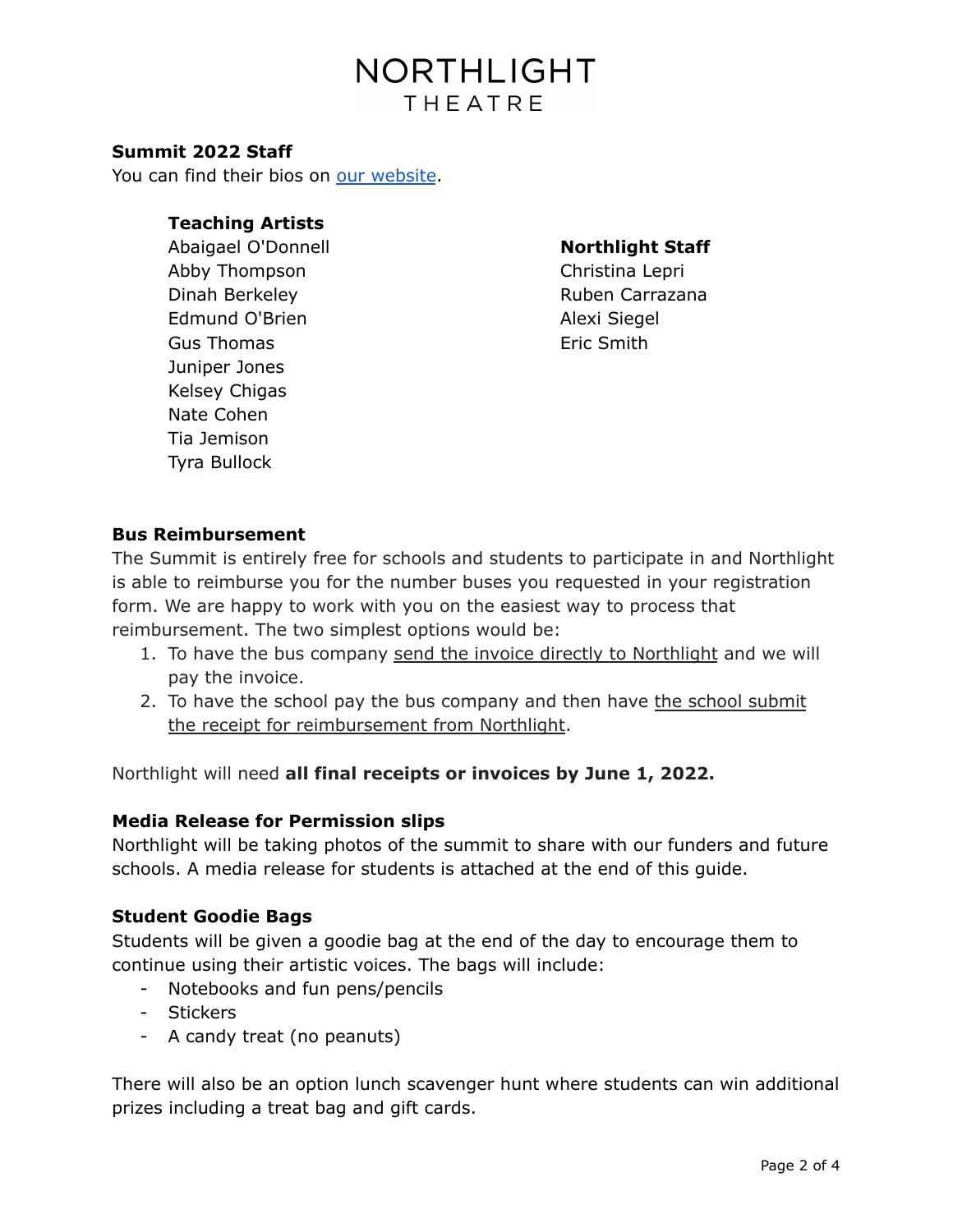#### **Summit 2022 Staff**

You can find their bios on our [website](https://northlight.org/teaching-artists/).

#### **Teaching Artists**

Abaigael O'Donnell Abby Thompson Dinah Berkeley Edmund O'Brien Gus Thomas Juniper Jones Kelsey Chigas Nate Cohen Tia Jemison Tyra Bullock

### **Northlight Staff**

Christina Lepri Ruben Carrazana Alexi Siegel Eric Smith

#### **Bus Reimbursement**

The Summit is entirely free for schools and students to participate in and Northlight is able to reimburse you for the number buses you requested in your registration form. We are happy to work with you on the easiest way to process that reimbursement. The two simplest options would be:

- 1. To have the bus company send the invoice directly to Northlight and we will pay the invoice.
- 2. To have the school pay the bus company and then have the school submit the receipt for reimbursement from Northlight.

Northlight will need **all final receipts or invoices by June 1, 2022.**

#### **Media Release for Permission slips**

Northlight will be taking photos of the summit to share with our funders and future schools. A media release for students is attached at the end of this guide.

#### **Student Goodie Bags**

Students will be given a goodie bag at the end of the day to encourage them to continue using their artistic voices. The bags will include:

- Notebooks and fun pens/pencils
- Stickers
- A candy treat (no peanuts)

There will also be an option lunch scavenger hunt where students can win additional prizes including a treat bag and gift cards.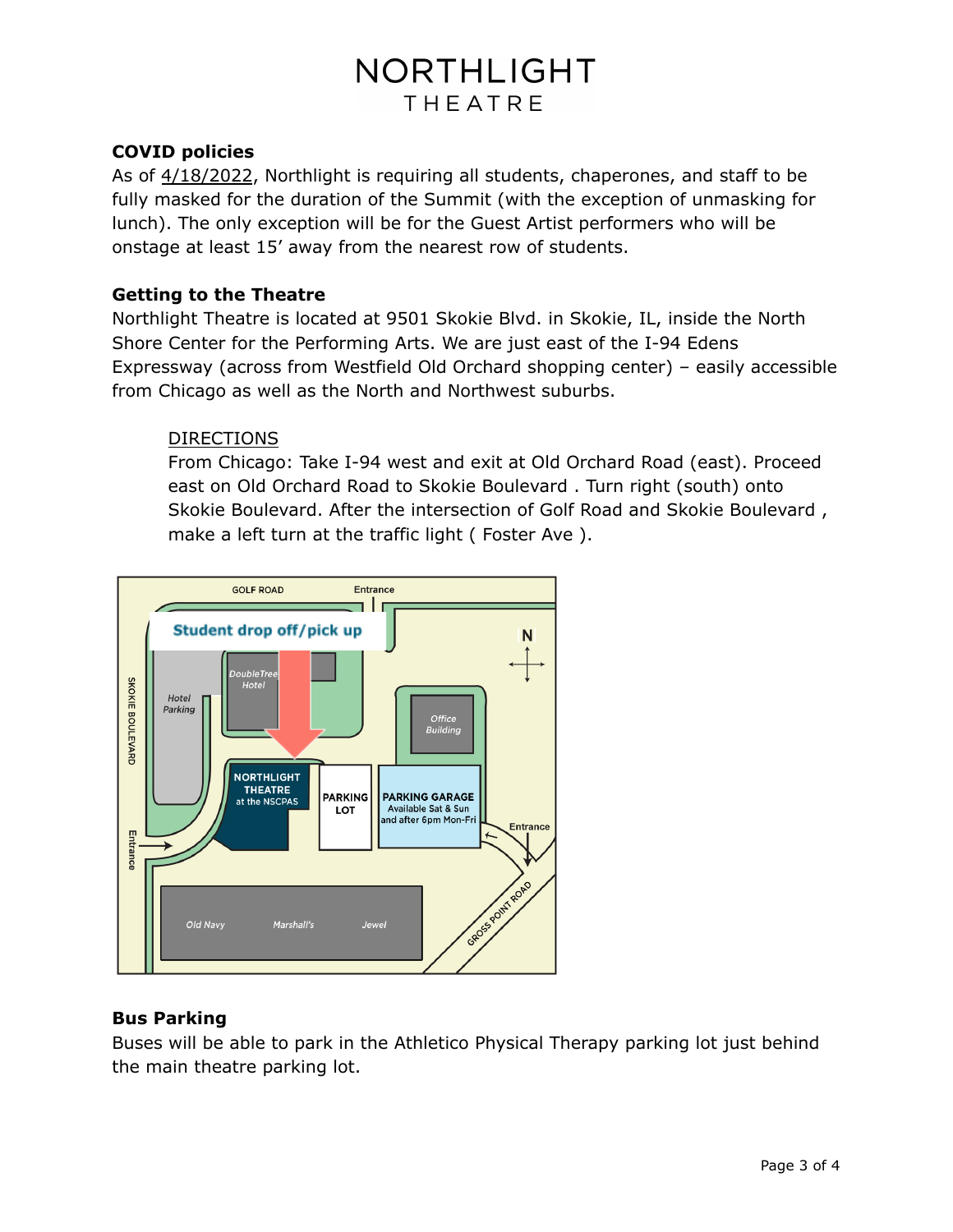## **COVID policies**

As of 4/18/2022, Northlight is requiring all students, chaperones, and staff to be fully masked for the duration of the Summit (with the exception of unmasking for lunch). The only exception will be for the Guest Artist performers who will be onstage at least 15' away from the nearest row of students.

# **Getting to the Theatre**

Northlight Theatre is located at 9501 Skokie Blvd. in Skokie, IL, inside the North Shore Center for the Performing Arts. We are just east of the I-94 Edens Expressway (across from Westfield Old Orchard shopping center) – easily accessible from Chicago as well as the North and Northwest suburbs.

## DIRECTIONS

From Chicago: Take I-94 west and exit at Old Orchard Road (east). Proceed east on Old Orchard Road to Skokie Boulevard . Turn right (south) onto Skokie Boulevard. After the intersection of Golf Road and Skokie Boulevard , make a left turn at the traffic light ( Foster Ave ).



# **Bus Parking**

Buses will be able to park in the Athletico Physical Therapy parking lot just behind the main theatre parking lot.